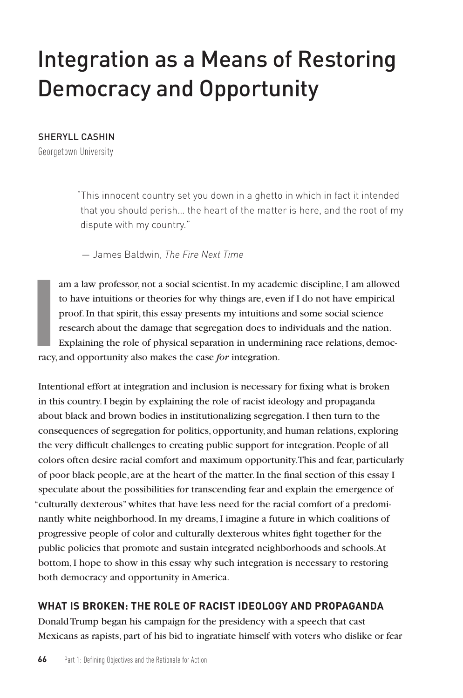# Integration as a Means of Restoring Democracy and Opportunity

#### SHERYLL CASHIN

Georgetown University

"This innocent country set you down in a ghetto in which in fact it intended that you should perish… the heart of the matter is here, and the root of my dispute with my country."

— James Baldwin, *The Fire Next Time*

am a law professor, not a social scientist. In my academic discipline, I am allowed to have intuitions or theories for why things are, even if I do not have empirical proof. In that spirit, this essay presents my intuitions and some social science research about the damage that segregation does to individuals and the nation. Explaining the role of physical separation in undermining race relations, democracy, and opportunity also makes the case *for* integration.

Intentional effort at integration and inclusion is necessary for fixing what is broken in this country. I begin by explaining the role of racist ideology and propaganda about black and brown bodies in institutionalizing segregation. I then turn to the consequences of segregation for politics, opportunity, and human relations, exploring the very difficult challenges to creating public support for integration. People of all colors often desire racial comfort and maximum opportunity. This and fear, particularly of poor black people, are at the heart of the matter. In the final section of this essay I speculate about the possibilities for transcending fear and explain the emergence of "culturally dexterous" whites that have less need for the racial comfort of a predominantly white neighborhood. In my dreams, I imagine a future in which coalitions of progressive people of color and culturally dexterous whites fight together for the public policies that promote and sustain integrated neighborhoods and schools. At bottom, I hope to show in this essay why such integration is necessary to restoring both democracy and opportunity in America.

# **WHAT IS BROKEN: THE ROLE OF RACIST IDEOLOGY AND PROPAGANDA**

Donald Trump began his campaign for the presidency with a speech that cast Mexicans as rapists, part of his bid to ingratiate himself with voters who dislike or fear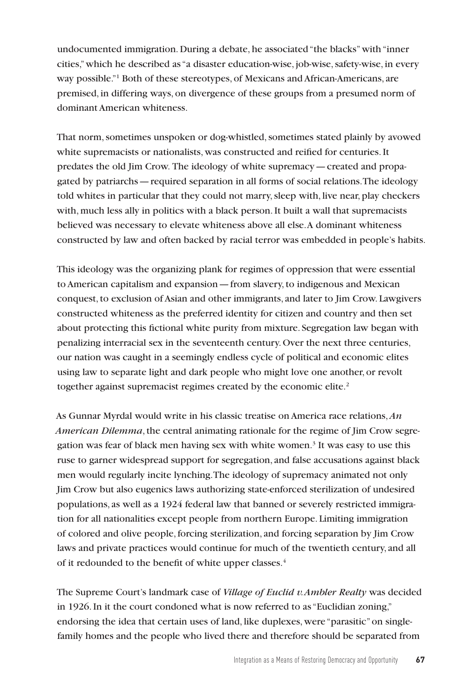undocumented immigration. During a debate, he associated "the blacks" with "inner cities," which he described as "a disaster education-wise, job-wise, safety-wise, in every way possible."1 Both of these stereotypes, of Mexicans and African-Americans, are premised, in differing ways, on divergence of these groups from a presumed norm of dominant American whiteness.

That norm, sometimes unspoken or dog-whistled, sometimes stated plainly by avowed white supremacists or nationalists, was constructed and reified for centuries. It predates the old Jim Crow. The ideology of white supremacy—created and propagated by patriarchs—required separation in all forms of social relations. The ideology told whites in particular that they could not marry, sleep with, live near, play checkers with, much less ally in politics with a black person. It built a wall that supremacists believed was necessary to elevate whiteness above all else. A dominant whiteness constructed by law and often backed by racial terror was embedded in people's habits.

This ideology was the organizing plank for regimes of oppression that were essential to American capitalism and expansion—from slavery, to indigenous and Mexican conquest, to exclusion of Asian and other immigrants, and later to Jim Crow. Lawgivers constructed whiteness as the preferred identity for citizen and country and then set about protecting this fictional white purity from mixture. Segregation law began with penalizing interracial sex in the seventeenth century. Over the next three centuries, our nation was caught in a seemingly endless cycle of political and economic elites using law to separate light and dark people who might love one another, or revolt together against supremacist regimes created by the economic elite.<sup>2</sup>

As Gunnar Myrdal would write in his classic treatise on America race relations, *An American Dilemma*, the central animating rationale for the regime of Jim Crow segregation was fear of black men having sex with white women.<sup>3</sup> It was easy to use this ruse to garner widespread support for segregation, and false accusations against black men would regularly incite lynching. The ideology of supremacy animated not only Jim Crow but also eugenics laws authorizing state-enforced sterilization of undesired populations, as well as a 1924 federal law that banned or severely restricted immigration for all nationalities except people from northern Europe. Limiting immigration of colored and olive people, forcing sterilization, and forcing separation by Jim Crow laws and private practices would continue for much of the twentieth century, and all of it redounded to the benefit of white upper classes.<sup>4</sup>

The Supreme Court's landmark case of *Village of Euclid v. Ambler Realty* was decided in 1926. In it the court condoned what is now referred to as "Euclidian zoning," endorsing the idea that certain uses of land, like duplexes, were "parasitic" on singlefamily homes and the people who lived there and therefore should be separated from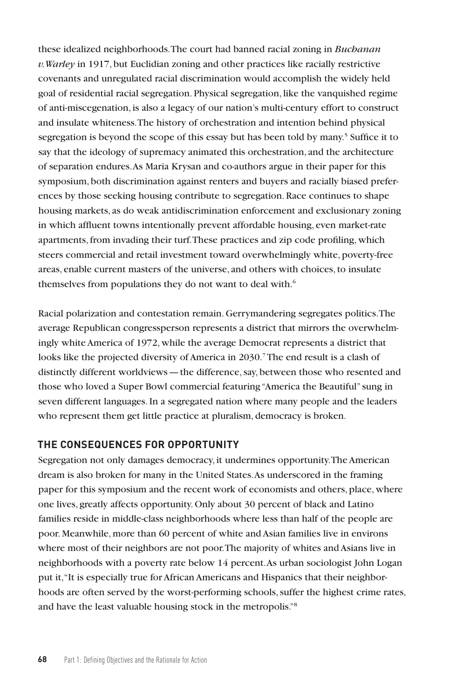these idealized neighborhoods. The court had banned racial zoning in *Buchanan v. Warley* in 1917, but Euclidian zoning and other practices like racially restrictive covenants and unregulated racial discrimination would accomplish the widely held goal of residential racial segregation. Physical segregation, like the vanquished regime of anti-miscegenation, is also a legacy of our nation's multi-century effort to construct and insulate whiteness. The history of orchestration and intention behind physical segregation is beyond the scope of this essay but has been told by many.<sup>5</sup> Suffice it to say that the ideology of supremacy animated this orchestration, and the architecture of separation endures. As Maria Krysan and co-authors argue in their paper for this symposium, both discrimination against renters and buyers and racially biased preferences by those seeking housing contribute to segregation. Race continues to shape housing markets, as do weak antidiscrimination enforcement and exclusionary zoning in which affluent towns intentionally prevent affordable housing, even market-rate apartments, from invading their turf. These practices and zip code profiling, which steers commercial and retail investment toward overwhelmingly white, poverty-free areas, enable current masters of the universe, and others with choices, to insulate themselves from populations they do not want to deal with.<sup>6</sup>

Racial polarization and contestation remain. Gerrymandering segregates politics. The average Republican congressperson represents a district that mirrors the overwhelmingly white America of 1972, while the average Democrat represents a district that looks like the projected diversity of America in 2030.<sup>7</sup> The end result is a clash of distinctly different worldviews—the difference, say, between those who resented and those who loved a Super Bowl commercial featuring "America the Beautiful" sung in seven different languages. In a segregated nation where many people and the leaders who represent them get little practice at pluralism, democracy is broken.

## **THE CONSEQUENCES FOR OPPORTUNITY**

Segregation not only damages democracy, it undermines opportunity. The American dream is also broken for many in the United States. As underscored in the framing paper for this symposium and the recent work of economists and others, place, where one lives, greatly affects opportunity. Only about 30 percent of black and Latino families reside in middle-class neighborhoods where less than half of the people are poor. Meanwhile, more than 60 percent of white and Asian families live in environs where most of their neighbors are not poor. The majority of whites and Asians live in neighborhoods with a poverty rate below 14 percent. As urban sociologist John Logan put it, "It is especially true for African Americans and Hispanics that their neighborhoods are often served by the worst-performing schools, suffer the highest crime rates, and have the least valuable housing stock in the metropolis."8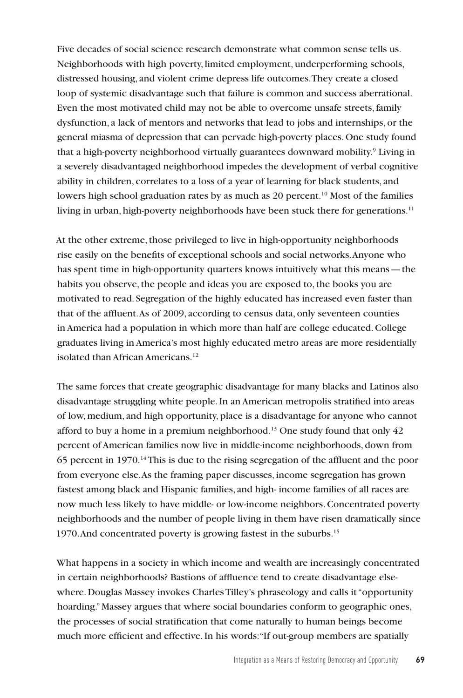Five decades of social science research demonstrate what common sense tells us. Neighborhoods with high poverty, limited employment, underperforming schools, distressed housing, and violent crime depress life outcomes. They create a closed loop of systemic disadvantage such that failure is common and success aberrational. Even the most motivated child may not be able to overcome unsafe streets, family dysfunction, a lack of mentors and networks that lead to jobs and internships, or the general miasma of depression that can pervade high-poverty places. One study found that a high-poverty neighborhood virtually guarantees downward mobility.<sup>9</sup> Living in a severely disadvantaged neighborhood impedes the development of verbal cognitive ability in children, correlates to a loss of a year of learning for black students, and lowers high school graduation rates by as much as 20 percent.<sup>10</sup> Most of the families living in urban, high-poverty neighborhoods have been stuck there for generations.<sup>11</sup>

At the other extreme, those privileged to live in high-opportunity neighborhoods rise easily on the benefits of exceptional schools and social networks. Anyone who has spent time in high-opportunity quarters knows intuitively what this means—the habits you observe, the people and ideas you are exposed to, the books you are motivated to read. Segregation of the highly educated has increased even faster than that of the affluent. As of 2009, according to census data, only seventeen counties in America had a population in which more than half are college educated. College graduates living in America's most highly educated metro areas are more residentially isolated than African Americans.<sup>12</sup>

The same forces that create geographic disadvantage for many blacks and Latinos also disadvantage struggling white people. In an American metropolis stratified into areas of low, medium, and high opportunity, place is a disadvantage for anyone who cannot afford to buy a home in a premium neighborhood.<sup>13</sup> One study found that only  $42$ percent of American families now live in middle-income neighborhoods, down from 65 percent in 1970.14 This is due to the rising segregation of the affluent and the poor from everyone else. As the framing paper discusses, income segregation has grown fastest among black and Hispanic families, and high- income families of all races are now much less likely to have middle- or low-income neighbors. Concentrated poverty neighborhoods and the number of people living in them have risen dramatically since 1970. And concentrated poverty is growing fastest in the suburbs.15

What happens in a society in which income and wealth are increasingly concentrated in certain neighborhoods? Bastions of affluence tend to create disadvantage elsewhere. Douglas Massey invokes Charles Tilley's phraseology and calls it "opportunity hoarding." Massey argues that where social boundaries conform to geographic ones, the processes of social stratification that come naturally to human beings become much more efficient and effective. In his words: "If out-group members are spatially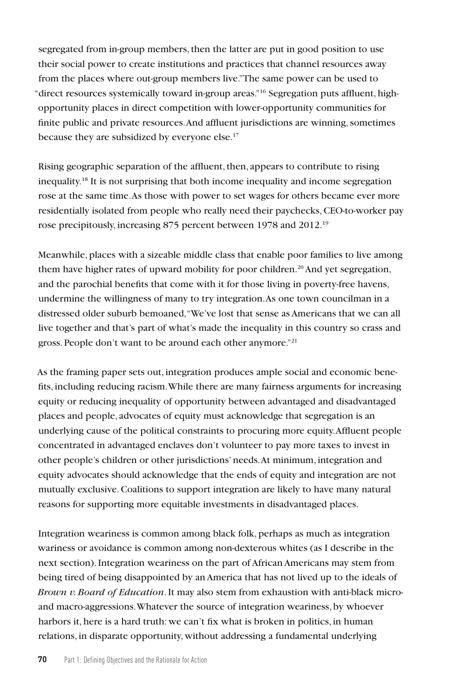segregated from in-group members, then the latter are put in good position to use their social power to create institutions and practices that channel resources away from the places where out-group members live." The same power can be used to "direct resources systemically toward in-group areas."16 Segregation puts affluent, highopportunity places in direct competition with lower-opportunity communities for finite public and private resources. And affluent jurisdictions are winning, sometimes because they are subsidized by everyone else.17

Rising geographic separation of the affluent, then, appears to contribute to rising inequality.18 It is not surprising that both income inequality and income segregation rose at the same time. As those with power to set wages for others became ever more residentially isolated from people who really need their paychecks, CEO-to-worker pay rose precipitously, increasing 875 percent between 1978 and 2012.19

Meanwhile, places with a sizeable middle class that enable poor families to live among them have higher rates of upward mobility for poor children.<sup>20</sup> And yet segregation, and the parochial benefits that come with it for those living in poverty-free havens, undermine the willingness of many to try integration. As one town councilman in a distressed older suburb bemoaned, "We've lost that sense as Americans that we can all live together and that's part of what's made the inequality in this country so crass and gross. People don't want to be around each other anymore."21

As the framing paper sets out, integration produces ample social and economic benefits, including reducing racism. While there are many fairness arguments for increasing equity or reducing inequality of opportunity between advantaged and disadvantaged places and people, advocates of equity must acknowledge that segregation is an underlying cause of the political constraints to procuring more equity. Affluent people concentrated in advantaged enclaves don't volunteer to pay more taxes to invest in other people's children or other jurisdictions' needs. At minimum, integration and equity advocates should acknowledge that the ends of equity and integration are not mutually exclusive. Coalitions to support integration are likely to have many natural reasons for supporting more equitable investments in disadvantaged places.

Integration weariness is common among black folk, perhaps as much as integration wariness or avoidance is common among non-dexterous whites (as I describe in the next section). Integration weariness on the part of African Americans may stem from being tired of being disappointed by an America that has not lived up to the ideals of *Brown v. Board of Education*. It may also stem from exhaustion with anti-black microand macro-aggressions. Whatever the source of integration weariness, by whoever harbors it, here is a hard truth: we can't fix what is broken in politics, in human relations, in disparate opportunity, without addressing a fundamental underlying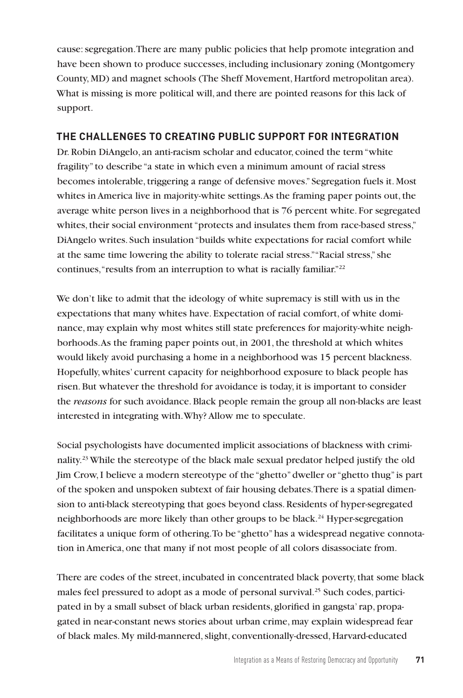cause: segregation. There are many public policies that help promote integration and have been shown to produce successes, including inclusionary zoning (Montgomery County, MD) and magnet schools (The Sheff Movement, Hartford metropolitan area). What is missing is more political will, and there are pointed reasons for this lack of support.

## **THE CHALLENGES TO CREATING PUBLIC SUPPORT FOR INTEGRATION**

Dr. Robin DiAngelo, an anti-racism scholar and educator, coined the term "white fragility" to describe "a state in which even a minimum amount of racial stress becomes intolerable, triggering a range of defensive moves." Segregation fuels it. Most whites in America live in majority-white settings. As the framing paper points out, the average white person lives in a neighborhood that is 76 percent white. For segregated whites, their social environment "protects and insulates them from race-based stress," DiAngelo writes. Such insulation "builds white expectations for racial comfort while at the same time lowering the ability to tolerate racial stress." "Racial stress," she continues, "results from an interruption to what is racially familiar."<sup>22</sup>

We don't like to admit that the ideology of white supremacy is still with us in the expectations that many whites have. Expectation of racial comfort, of white dominance, may explain why most whites still state preferences for majority-white neighborhoods. As the framing paper points out, in 2001, the threshold at which whites would likely avoid purchasing a home in a neighborhood was 15 percent blackness. Hopefully, whites' current capacity for neighborhood exposure to black people has risen. But whatever the threshold for avoidance is today, it is important to consider the *reasons* for such avoidance. Black people remain the group all non-blacks are least interested in integrating with. Why? Allow me to speculate.

Social psychologists have documented implicit associations of blackness with criminality.<sup>23</sup> While the stereotype of the black male sexual predator helped justify the old Jim Crow, I believe a modern stereotype of the "ghetto" dweller or "ghetto thug" is part of the spoken and unspoken subtext of fair housing debates. There is a spatial dimension to anti-black stereotyping that goes beyond class. Residents of hyper-segregated neighborhoods are more likely than other groups to be black.<sup>24</sup> Hyper-segregation facilitates a unique form of othering. To be "ghetto" has a widespread negative connotation in America, one that many if not most people of all colors disassociate from.

There are codes of the street, incubated in concentrated black poverty, that some black males feel pressured to adopt as a mode of personal survival.<sup>25</sup> Such codes, participated in by a small subset of black urban residents, glorified in gangsta' rap, propagated in near-constant news stories about urban crime, may explain widespread fear of black males. My mild-mannered, slight, conventionally-dressed, Harvard-educated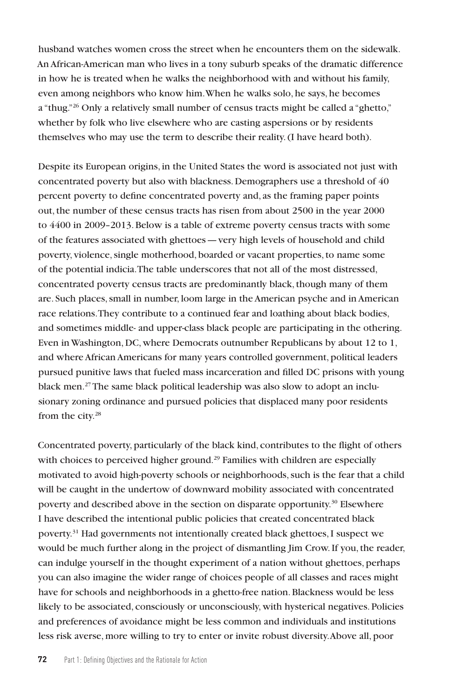husband watches women cross the street when he encounters them on the sidewalk. An African-American man who lives in a tony suburb speaks of the dramatic difference in how he is treated when he walks the neighborhood with and without his family, even among neighbors who know him. When he walks solo, he says, he becomes a "thug."<sup>26</sup> Only a relatively small number of census tracts might be called a "ghetto," whether by folk who live elsewhere who are casting aspersions or by residents themselves who may use the term to describe their reality. (I have heard both).

Despite its European origins, in the United States the word is associated not just with concentrated poverty but also with blackness. Demographers use a threshold of 40 percent poverty to define concentrated poverty and, as the framing paper points out, the number of these census tracts has risen from about 2500 in the year 2000 to 4400 in 2009–2013. Below is a table of extreme poverty census tracts with some of the features associated with ghettoes—very high levels of household and child poverty, violence, single motherhood, boarded or vacant properties, to name some of the potential indicia. The table underscores that not all of the most distressed, concentrated poverty census tracts are predominantly black, though many of them are. Such places, small in number, loom large in the American psyche and in American race relations. They contribute to a continued fear and loathing about black bodies, and sometimes middle- and upper-class black people are participating in the othering. Even in Washington, DC, where Democrats outnumber Republicans by about 12 to 1, and where African Americans for many years controlled government, political leaders pursued punitive laws that fueled mass incarceration and filled DC prisons with young black men.27 The same black political leadership was also slow to adopt an inclusionary zoning ordinance and pursued policies that displaced many poor residents from the city.<sup>28</sup>

Concentrated poverty, particularly of the black kind, contributes to the flight of others with choices to perceived higher ground.<sup>29</sup> Families with children are especially motivated to avoid high-poverty schools or neighborhoods, such is the fear that a child will be caught in the undertow of downward mobility associated with concentrated poverty and described above in the section on disparate opportunity.30 Elsewhere I have described the intentional public policies that created concentrated black poverty.31 Had governments not intentionally created black ghettoes, I suspect we would be much further along in the project of dismantling Jim Crow. If you, the reader, can indulge yourself in the thought experiment of a nation without ghettoes, perhaps you can also imagine the wider range of choices people of all classes and races might have for schools and neighborhoods in a ghetto-free nation. Blackness would be less likely to be associated, consciously or unconsciously, with hysterical negatives. Policies and preferences of avoidance might be less common and individuals and institutions less risk averse, more willing to try to enter or invite robust diversity. Above all, poor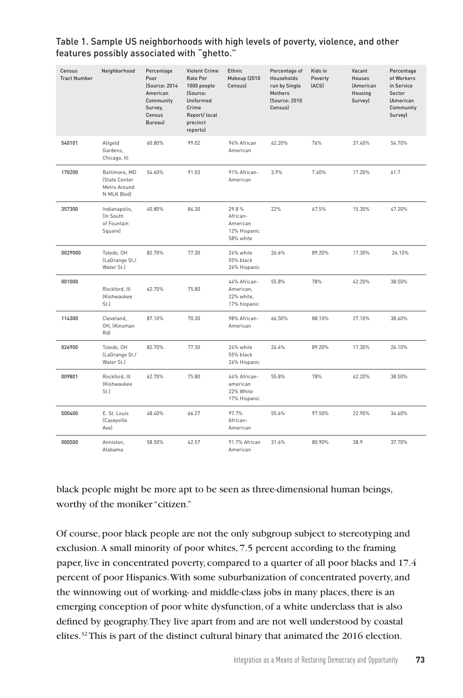| Census<br><b>Tract Number</b> | Neighborhood                                                  | Percentage<br>Poor<br>(Source: 2014<br>American<br>Community<br>Survey,<br>Census<br>Bureau) | <b>Violent Crime</b><br>Rate Per<br>1000 people<br>(Source:<br>Uniformed<br>Crime<br>Report/ local<br>precinct<br>reports) | Ethnic<br>Makeup (2010<br>Census)                          | Percentage of<br>Households<br>run by Single<br>Mothers<br>(Source: 2010<br>Census) | Kids in<br>Poverty<br>[ACS] | Vacant<br>Houses<br><b>(American</b><br>Housing<br>Survey) | Percentage<br>of Workers<br>in Service<br>Sector<br>(American<br>Community<br>Survey) |
|-------------------------------|---------------------------------------------------------------|----------------------------------------------------------------------------------------------|----------------------------------------------------------------------------------------------------------------------------|------------------------------------------------------------|-------------------------------------------------------------------------------------|-----------------------------|------------------------------------------------------------|---------------------------------------------------------------------------------------|
| 540101                        | Altgeld<br>Gardens,<br>Chicago, Ill                           | 60.80%                                                                                       | 99.02                                                                                                                      | 94% African<br>American                                    | 62.20%                                                                              | 76%                         | 37.40%                                                     | 54.70%                                                                                |
| 170200                        | Baltimore, MD<br>(State Center<br>Metro Around<br>N MLK Blvd) | 54.60%                                                                                       | 91.03                                                                                                                      | 91% African-<br>American                                   | 3.9%                                                                                | 7.40%                       | 17.20%                                                     | 61.7                                                                                  |
| 357300                        | Indianapolis,<br>In South<br>of Fountain<br>Square)           | 40.80%                                                                                       | 84.30                                                                                                                      | 29.8%<br>African-<br>American<br>12% Hispanic<br>58% white | 22%                                                                                 | 67.5%                       | 15.30%                                                     | 47.20%                                                                                |
| 0029000                       | Toledo, OH<br>(LaGrange St./<br>Water St.)                    | 82.70%                                                                                       | 77.30                                                                                                                      | 24% white<br>55% black<br>26% Hispanic                     | 26.6%                                                                               | 89.20%                      | 17.30%                                                     | 26.10%                                                                                |
| 001000                        | Rockford, Ill<br>(Kishwaukee<br>St.)                          | 62.70%                                                                                       | 75.80                                                                                                                      | 44% African-<br>American.<br>22% white,<br>17% hispanic    | 55.8%                                                                               | 78%                         | 42.20%                                                     | 38.50%                                                                                |
| 114300                        | Cleveland.<br>OH, (Kinsman<br>Rd)                             | 87.10%                                                                                       | 70.30                                                                                                                      | 98% African-<br>American                                   | 66.50%                                                                              | 88.10%                      | 27.10%                                                     | 38.60%                                                                                |
| 026900                        | Toledo, OH<br>(LaGrange St./<br>Water St.)                    | 82.70%                                                                                       | 77.30                                                                                                                      | 24% white<br>55% black<br>26% Hispanic                     | 26.6%                                                                               | 89.20%                      | 17.30%                                                     | 26.10%                                                                                |
| 009801                        | Rockford, Ill<br><b>Kishwaukee</b><br>St.)                    | 62.70%                                                                                       | 75.80                                                                                                                      | 44% African-<br>american<br>22% White<br>17% Hispanic      | 55.8%                                                                               | 78%                         | 42.20%                                                     | 38.50%                                                                                |
| 500400                        | E. St. Louis<br>(Caseyville<br>Ave)                           | 48.40%                                                                                       | 66.27                                                                                                                      | 97.7%<br>African-<br>American                              | 55.6%                                                                               | 97.50%                      | 22.90%                                                     | 34.60%                                                                                |
| 000500                        | Anniston.<br>Alabama                                          | 58.50%                                                                                       | 62.57                                                                                                                      | 91.7% African<br>American                                  | 31.6%                                                                               | 80.90%                      | 38.9                                                       | 37.70%                                                                                |

#### Table 1. Sample US neighborhoods with high levels of poverty, violence, and other features possibly associated with "ghetto."

black people might be more apt to be seen as three-dimensional human beings, worthy of the moniker "citizen."

Of course, poor black people are not the only subgroup subject to stereotyping and exclusion. A small minority of poor whites, 7.5 percent according to the framing paper, live in concentrated poverty, compared to a quarter of all poor blacks and 17.4 percent of poor Hispanics. With some suburbanization of concentrated poverty, and the winnowing out of working- and middle-class jobs in many places, there is an emerging conception of poor white dysfunction, of a white underclass that is also defined by geography. They live apart from and are not well understood by coastal elites.<sup>32</sup> This is part of the distinct cultural binary that animated the 2016 election.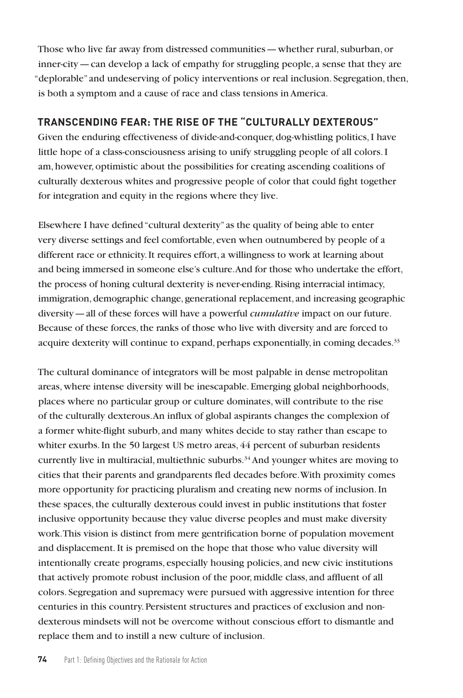Those who live far away from distressed communities—whether rural, suburban, or inner-city—can develop a lack of empathy for struggling people, a sense that they are "deplorable" and undeserving of policy interventions or real inclusion. Segregation, then, is both a symptom and a cause of race and class tensions in America.

# **TRANSCENDING FEAR: THE RISE OF THE "CULTURALLY DEXTEROUS"**

Given the enduring effectiveness of divide-and-conquer, dog-whistling politics, I have little hope of a class-consciousness arising to unify struggling people of all colors. I am, however, optimistic about the possibilities for creating ascending coalitions of culturally dexterous whites and progressive people of color that could fight together for integration and equity in the regions where they live.

Elsewhere I have defined "cultural dexterity" as the quality of being able to enter very diverse settings and feel comfortable, even when outnumbered by people of a different race or ethnicity. It requires effort, a willingness to work at learning about and being immersed in someone else's culture. And for those who undertake the effort, the process of honing cultural dexterity is never-ending. Rising interracial intimacy, immigration, demographic change, generational replacement, and increasing geographic diversity—all of these forces will have a powerful *cumulative* impact on our future. Because of these forces, the ranks of those who live with diversity and are forced to acquire dexterity will continue to expand, perhaps exponentially, in coming decades.<sup>33</sup>

The cultural dominance of integrators will be most palpable in dense metropolitan areas, where intense diversity will be inescapable. Emerging global neighborhoods, places where no particular group or culture dominates, will contribute to the rise of the culturally dexterous. An influx of global aspirants changes the complexion of a former white-flight suburb, and many whites decide to stay rather than escape to whiter exurbs. In the 50 largest US metro areas, 44 percent of suburban residents currently live in multiracial, multiethnic suburbs.<sup>34</sup> And younger whites are moving to cities that their parents and grandparents fled decades before. With proximity comes more opportunity for practicing pluralism and creating new norms of inclusion. In these spaces, the culturally dexterous could invest in public institutions that foster inclusive opportunity because they value diverse peoples and must make diversity work. This vision is distinct from mere gentrification borne of population movement and displacement. It is premised on the hope that those who value diversity will intentionally create programs, especially housing policies, and new civic institutions that actively promote robust inclusion of the poor, middle class, and affluent of all colors. Segregation and supremacy were pursued with aggressive intention for three centuries in this country. Persistent structures and practices of exclusion and nondexterous mindsets will not be overcome without conscious effort to dismantle and replace them and to instill a new culture of inclusion.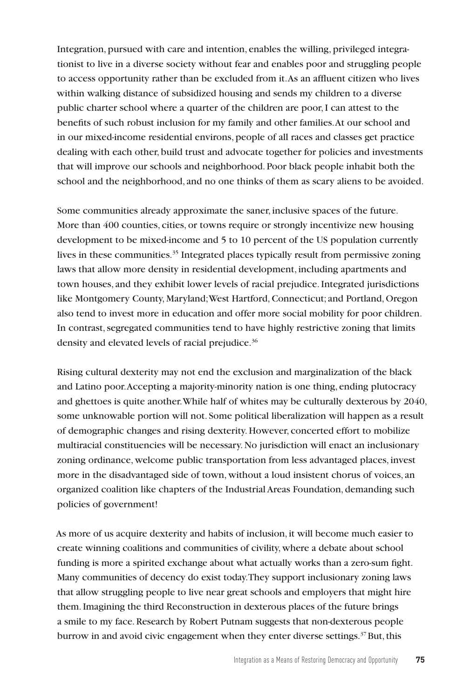Integration, pursued with care and intention, enables the willing, privileged integrationist to live in a diverse society without fear and enables poor and struggling people to access opportunity rather than be excluded from it. As an affluent citizen who lives within walking distance of subsidized housing and sends my children to a diverse public charter school where a quarter of the children are poor, I can attest to the benefits of such robust inclusion for my family and other families. At our school and in our mixed-income residential environs, people of all races and classes get practice dealing with each other, build trust and advocate together for policies and investments that will improve our schools and neighborhood. Poor black people inhabit both the school and the neighborhood, and no one thinks of them as scary aliens to be avoided.

Some communities already approximate the saner, inclusive spaces of the future. More than 400 counties, cities, or towns require or strongly incentivize new housing development to be mixed-income and 5 to 10 percent of the US population currently lives in these communities.<sup>35</sup> Integrated places typically result from permissive zoning laws that allow more density in residential development, including apartments and town houses, and they exhibit lower levels of racial prejudice. Integrated jurisdictions like Montgomery County, Maryland; West Hartford, Connecticut; and Portland, Oregon also tend to invest more in education and offer more social mobility for poor children. In contrast, segregated communities tend to have highly restrictive zoning that limits density and elevated levels of racial prejudice.<sup>36</sup>

Rising cultural dexterity may not end the exclusion and marginalization of the black and Latino poor. Accepting a majority-minority nation is one thing, ending plutocracy and ghettoes is quite another. While half of whites may be culturally dexterous by 2040, some unknowable portion will not. Some political liberalization will happen as a result of demographic changes and rising dexterity. However, concerted effort to mobilize multiracial constituencies will be necessary. No jurisdiction will enact an inclusionary zoning ordinance, welcome public transportation from less advantaged places, invest more in the disadvantaged side of town, without a loud insistent chorus of voices, an organized coalition like chapters of the Industrial Areas Foundation, demanding such policies of government!

As more of us acquire dexterity and habits of inclusion, it will become much easier to create winning coalitions and communities of civility, where a debate about school funding is more a spirited exchange about what actually works than a zero-sum fight. Many communities of decency do exist today. They support inclusionary zoning laws that allow struggling people to live near great schools and employers that might hire them. Imagining the third Reconstruction in dexterous places of the future brings a smile to my face. Research by Robert Putnam suggests that non-dexterous people burrow in and avoid civic engagement when they enter diverse settings.<sup>37</sup> But, this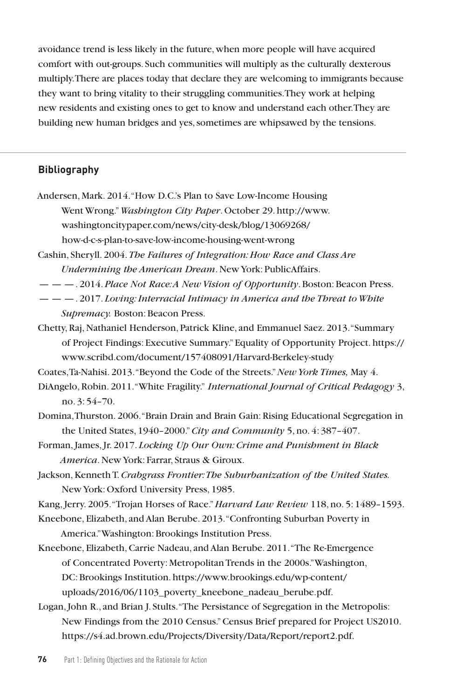avoidance trend is less likely in the future, when more people will have acquired comfort with out-groups. Such communities will multiply as the culturally dexterous multiply. There are places today that declare they are welcoming to immigrants because they want to bring vitality to their struggling communities. They work at helping new residents and existing ones to get to know and understand each other. They are building new human bridges and yes, sometimes are whipsawed by the tensions.

## **Bibliography**

- Andersen, Mark. 2014. "How D.C.'s Plan to Save Low-Income Housing Went Wrong." *Washington City Paper*. October 29. http://www. washingtoncitypaper.com/news/city-desk/blog/13069268/ how-d-c-s-plan-to-save-low-income-housing-went-wrong
- Cashin, Sheryll. 2004. *The Failures of Integration: How Race and Class Are Undermining the American Dream*. New York: PublicAffairs.
- — —. 2014. *Place Not Race: A New Vision of Opportunity*. Boston: Beacon Press.
- — —. 2017. *Loving: Interracial Intimacy in America and the Threat to White Supremacy.* Boston: Beacon Press.
- Chetty, Raj, Nathaniel Henderson, Patrick Kline, and Emmanuel Saez. 2013. "Summary of Project Findings: Executive Summary." Equality of Opportunity Project. https:// www.scribd.com/document/157408091/Harvard-Berkeley-study

Coates, Ta-Nahisi. 2013. "Beyond the Code of the Streets." *New York Times,* May 4.

- DiAngelo, Robin. 2011. "White Fragility." *International Journal of Critical Pedagogy* 3, no. 3: 54–70.
- Domina, Thurston. 2006. "Brain Drain and Brain Gain: Rising Educational Segregation in the United States, 1940–2000." *City and Community* 5, no. 4: 387–407.
- Forman, James, Jr. 2017. *Locking Up Our Own: Crime and Punishment in Black America*. New York: Farrar, Straus & Giroux.
- Jackson, Kenneth T. *Crabgrass Frontier: The Suburbanization of the United States.* New York: Oxford University Press, 1985.

Kang, Jerry. 2005. "Trojan Horses of Race." *Harvard Law Review* 118, no. 5: 1489–1593.

- Kneebone, Elizabeth, and Alan Berube. 2013. "Confronting Suburban Poverty in America." Washington: Brookings Institution Press.
- Kneebone, Elizabeth, Carrie Nadeau, and Alan Berube. 2011. "The Re-Emergence of Concentrated Poverty: Metropolitan Trends in the 2000s." Washington, DC: Brookings Institution. https://www.brookings.edu/wp-content/ uploads/2016/06/1103\_poverty\_kneebone\_nadeau\_berube.pdf.
- Logan, John R., and Brian J. Stults. "The Persistance of Segregation in the Metropolis: New Findings from the 2010 Census." Census Brief prepared for Project US2010. https://s4.ad.brown.edu/Projects/Diversity/Data/Report/report2.pdf.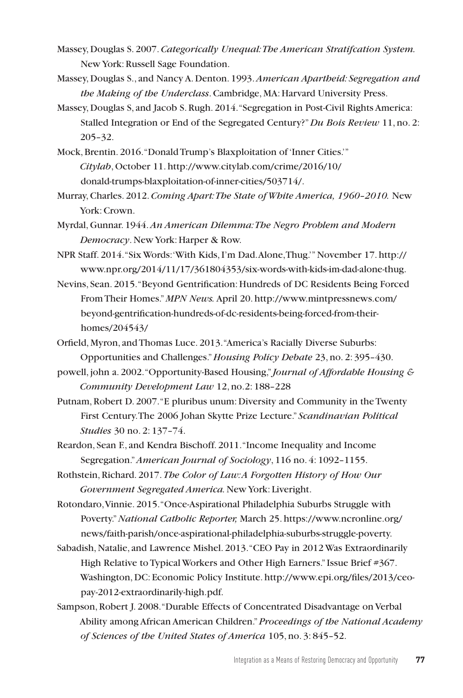- Massey, Douglas S. 2007. *Categorically Unequal: The American Stratifcation System.*  New York: Russell Sage Foundation.
- Massey, Douglas S., and Nancy A. Denton. 1993. *American Apartheid: Segregation and the Making of the Underclass*. Cambridge, MA: Harvard University Press.
- Massey, Douglas S, and Jacob S. Rugh. 2014. "Segregation in Post-Civil Rights America: Stalled Integration or End of the Segregated Century?" *Du Bois Review* 11, no. 2: 205–32.
- Mock, Brentin. 2016. "Donald Trump's Blaxploitation of 'Inner Cities.'" *Citylab*, October 11. http://www.citylab.com/crime/2016/10/ donald-trumps-blaxploitation-of-inner-cities/503714/.
- Murray, Charles. 2012. *Coming Apart: The State of White America, 1960–2010.* New York: Crown.
- Myrdal, Gunnar. 1944. *An American Dilemma: The Negro Problem and Modern Democracy*. New York: Harper & Row.
- NPR Staff. 2014. "Six Words: 'With Kids, I'm Dad. Alone, Thug.'" November 17. http:// www.npr.org/2014/11/17/361804353/six-words-with-kids-im-dad-alone-thug.
- Nevins, Sean. 2015. "Beyond Gentrification: Hundreds of DC Residents Being Forced From Their Homes." *MPN News.* April 20. http://www.mintpressnews.com/ beyond-gentrification-hundreds-of-dc-residents-being-forced-from-theirhomes/204543/
- Orfield, Myron, and Thomas Luce. 2013. "America's Racially Diverse Suburbs: Opportunities and Challenges." *Housing Policy Debate* 23, no. 2: 395–430.
- powell, john a. 2002. "Opportunity-Based Housing," *Journal of Affordable Housing & Community Development Law* 12, no.2: 188–228
- Putnam, Robert D. 2007. "E pluribus unum: Diversity and Community in the Twenty First Century. The 2006 Johan Skytte Prize Lecture." *Scandinavian Political Studies* 30 no. 2: 137–74.
- Reardon, Sean F., and Kendra Bischoff. 2011. "Income Inequality and Income Segregation." *American Journal of Sociology*, 116 no. 4: 1092–1155.
- Rothstein, Richard. 2017. *The Color of Law: A Forgotten History of How Our Government Segregated America.* New York: Liveright.
- Rotondaro, Vinnie. 2015. "Once-Aspirational Philadelphia Suburbs Struggle with Poverty." *National Catholic Reporter,* March 25. https://www.ncronline.org/ news/faith-parish/once-aspirational-philadelphia-suburbs-struggle-poverty.
- Sabadish, Natalie, and Lawrence Mishel. 2013. "CEO Pay in 2012 Was Extraordinarily High Relative to Typical Workers and Other High Earners." Issue Brief #367. Washington, DC: Economic Policy Institute. http://www.epi.org/files/2013/ceopay-2012-extraordinarily-high.pdf.
- Sampson, Robert J. 2008. "Durable Effects of Concentrated Disadvantage on Verbal Ability among African American Children." *Proceedings of the National Academy of Sciences of the United States of America* 105, no. 3: 845–52.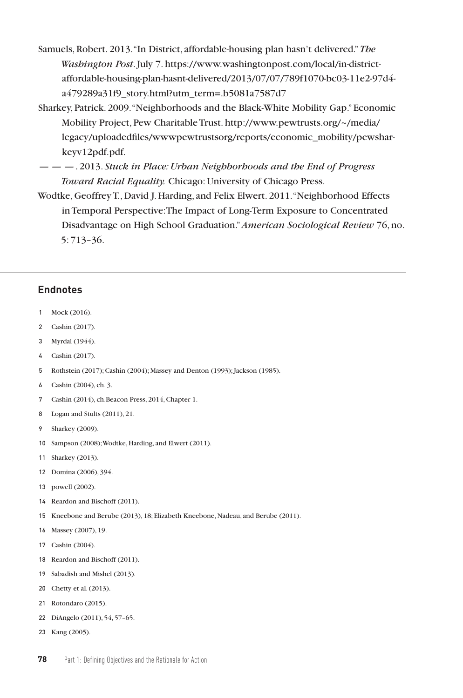- Samuels, Robert. 2013. "In District, affordable-housing plan hasn't delivered." *The Washington Post*. July 7. https://www.washingtonpost.com/local/in-districtaffordable-housing-plan-hasnt-delivered/2013/07/07/789f1070-bc03-11e2-97d4 a479289a31f9\_story.html?utm\_term=.b5081a7587d7
- Sharkey, Patrick. 2009. "Neighborhoods and the Black-White Mobility Gap." Economic Mobility Project, Pew Charitable Trust. http://www.pewtrusts.org/~/media/ legacy/uploadedfiles/wwwpewtrustsorg/reports/economic\_mobility/pewsharkeyv12pdf.pdf.
- — —. 2013. *Stuck in Place: Urban Neighborhoods and the End of Progress Toward Racial Equality.* Chicago: University of Chicago Press.
- Wodtke, Geoffrey T., David J. Harding, and Felix Elwert. 2011. "Neighborhood Effects in Temporal Perspective: The Impact of Long-Term Exposure to Concentrated Disadvantage on High School Graduation." *American Sociological Review* 76, no. 5: 713–36.

#### **Endnotes**

- Mock (2016).
- Cashin (2017).
- Myrdal (1944).
- Cashin (2017).
- Rothstein (2017); Cashin (2004); Massey and Denton (1993); Jackson (1985).
- Cashin (2004), ch. 3.
- Cashin (2014), ch.Beacon Press, 2014, Chapter 1.
- Logan and Stults (2011), 21.
- Sharkey (2009).
- Sampson (2008); Wodtke, Harding, and Elwert (2011).
- Sharkey (2013).
- Domina (2006), 394.
- powell (2002).
- Reardon and Bischoff (2011).
- Kneebone and Berube (2013), 18; Elizabeth Kneebone, Nadeau, and Berube (2011).
- Massey (2007), 19.
- Cashin (2004).
- Reardon and Bischoff (2011).
- Sabadish and Mishel (2013).
- Chetty et al. (2013).
- Rotondaro (2015).
- DiAngelo (2011), 54, 57–65.
- Kang (2005).